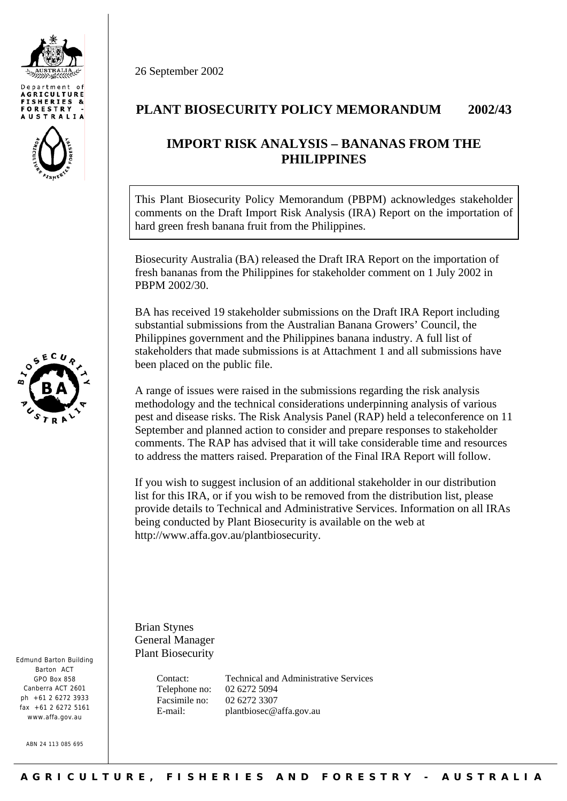





Edmund Barton Building Barton ACT GPO Box 858 Canberra ACT 2601  $nh + 61$  2 6272 3933 fax +61 2 6272 5161 www.affa.gov.au

ABN 24 113 085 695

26 September 2002

## **PLANT BIOSECURITY POLICY MEMORANDUM 2002/43**

## **IMPORT RISK ANALYSIS – BANANAS FROM THE PHILIPPINES**

This Plant Biosecurity Policy Memorandum (PBPM) acknowledges stakeholder comments on the Draft Import Risk Analysis (IRA) Report on the importation of hard green fresh banana fruit from the Philippines.

Biosecurity Australia (BA) released the Draft IRA Report on the importation of fresh bananas from the Philippines for stakeholder comment on 1 July 2002 in PBPM 2002/30.

BA has received 19 stakeholder submissions on the Draft IRA Report including substantial submissions from the Australian Banana Growers' Council, the Philippines government and the Philippines banana industry. A full list of stakeholders that made submissions is at Attachment 1 and all submissions have been placed on the public file.

A range of issues were raised in the submissions regarding the risk analysis methodology and the technical considerations underpinning analysis of various pest and disease risks. The Risk Analysis Panel (RAP) held a teleconference on 11 September and planned action to consider and prepare responses to stakeholder comments. The RAP has advised that it will take considerable time and resources to address the matters raised. Preparation of the Final IRA Report will follow.

If you wish to suggest inclusion of an additional stakeholder in our distribution list for this IRA, or if you wish to be removed from the distribution list, please provide details to Technical and Administrative Services. Information on all IRAs being conducted by Plant Biosecurity is available on the web at <http://www.affa.gov.au/plantbiosecurity>.

Brian Stynes General Manager Plant Biosecurity

> Telephone no: 02 6272 5094 Facsimile no: 02 6272 3307

 Contact: Technical and Administrative Services E-mail: [plantbiosec@affa.gov.au](mailto:plantbiosec@affa.gov.au)